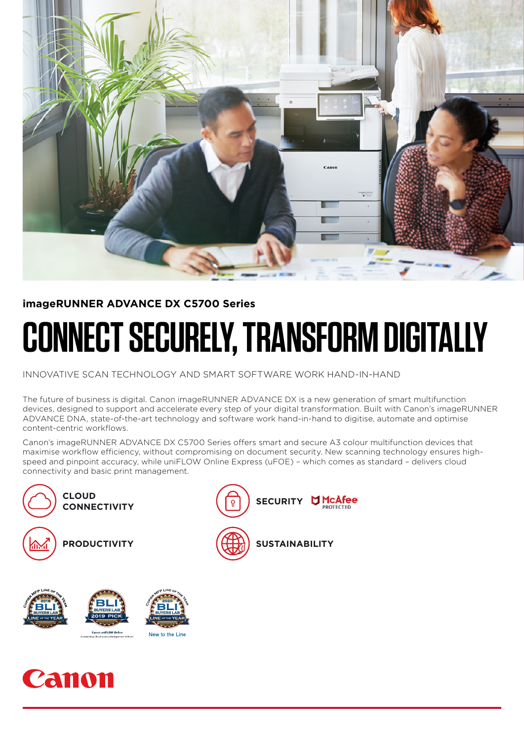

### **imageRUNNER ADVANCE DX C5700 Series**

# **CONNECT SECURELY, TRANSFORM DIGITALLY**

INNOVATIVE SCAN TECHNOLOGY AND SMART SOFTWARE WORK HAND-IN-HAND

The future of business is digital. Canon imageRUNNER ADVANCE DX is a new generation of smart multifunction devices, designed to support and accelerate every step of your digital transformation. Built with Canon's imageRUNNER ADVANCE DNA, state-of-the-art technology and software work hand-in-hand to digitise, automate and optimise content-centric workflows.

Canon's imageRUNNER ADVANCE DX C5700 Series offers smart and secure A3 colour multifunction devices that maximise workflow efficiency, without compromising on document security. New scanning technology ensures highspeed and pinpoint accuracy, while uniFLOW Online Express (uFOE) – which comes as standard – delivers cloud connectivity and basic print management.